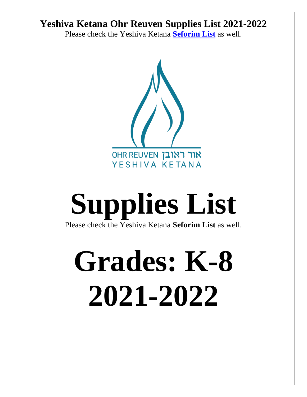Please check the Yeshiva Ketana **[Seforim List](https://ohrreuven-my.sharepoint.com/personal/rmeisels_ohrreuven_com/Documents/Office%20Folder/Year%20End%20and%20Beginning/5782%20School%20Year/Seforim%20List%2021-22-%20new%20(1).docx)** as well.



# **Supplies List** Please check the Yeshiva Ketana **Seforim List** as well.

# **Grades: K-8 2021-2022**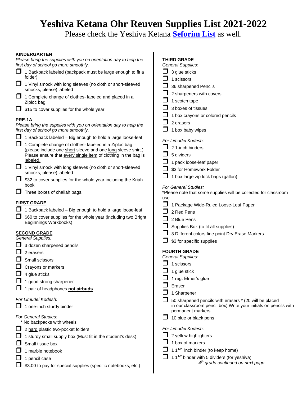Please check the Yeshiva Ketana **[Seforim List](https://ohrreuven-my.sharepoint.com/personal/rmeisels_ohrreuven_com/Documents/Office%20Folder/Year%20End%20and%20Beginning/5782%20School%20Year/Seforim%20List%2021-22-%20new%20(1).docx)** as well.

| <u>KINDERGARTEN</u><br>Please bring the supplies with you on orientation day to help the | <b>THIRD GRADE</b>                                                                                                         |
|------------------------------------------------------------------------------------------|----------------------------------------------------------------------------------------------------------------------------|
| first day of school go more smoothly.                                                    | <b>General Supplies:</b>                                                                                                   |
| $\Box$ 1 Backpack labeled (backpack must be large enough to fit a<br>folder)             | 3 glue sticks                                                                                                              |
| $\Box$<br>1 Vinyl smock with long sleeves (no cloth or short-sleeved                     | 1 scissors                                                                                                                 |
| smocks, please) labeled                                                                  | 36 sharpened Pencils                                                                                                       |
| 1 Complete change of clothes- labeled and placed in a                                    | 2 sharpeners with covers                                                                                                   |
| Ziploc bag                                                                               | 1 scotch tape                                                                                                              |
| $\Box$ \$15 to cover supplies for the whole year                                         | 3 boxes of tissues                                                                                                         |
| <u>PRE-1A</u>                                                                            | 1 box crayons or colored pencils                                                                                           |
| Please bring the supplies with you on orientation day to help the                        | 2 erasers                                                                                                                  |
| first day of school go more smoothly.                                                    | 1 box baby wipes                                                                                                           |
| $\Box$ 1 Backpack labeled – Big enough to hold a large loose-leaf                        | For Limudei Kodesh:                                                                                                        |
| 1 Complete change of clothes- labeled in a Ziploc bag -                                  | 2 1-inch binders                                                                                                           |
| (please include one short sleeve and one long sleeve shirt.)                             | 5 dividers                                                                                                                 |
| Please ensure that every single item of clothing in the bag is<br>labeled.               |                                                                                                                            |
| 1 Vinyl smock with long sleeves (no cloth or short-sleeved                               | 1 pack loose-leaf paper                                                                                                    |
| smocks, please) labeled                                                                  | \$3 for Homework Folder                                                                                                    |
| \$32 to cover supplies for the whole year including the Kriah<br>book                    | 1 box large zip lock bags (gallon)<br><b>For General Studies:</b>                                                          |
| $\Box$ Three boxes of challah bags.                                                      | *Please note that some supplies will be collected for classroom                                                            |
|                                                                                          | use.                                                                                                                       |
| <u>FIRST GRADE</u>                                                                       | 1 Package Wide-Ruled Loose-Leaf Paper                                                                                      |
| 1 Backpack labeled - Big enough to hold a large loose-leaf                               | 2 Red Pens                                                                                                                 |
| \$60 to cover supplies for the whole year (including two Bright                          | 2 Blue Pens                                                                                                                |
| Beginnings Workbooks)                                                                    | Supplies Box (to fit all supplies)                                                                                         |
| <b>SECOND GRADE</b>                                                                      | 3 Different colors fine point Dry Erase Markers                                                                            |
| General Supplies:                                                                        | \$3 for specific supplies                                                                                                  |
| $\Box$ 3 dozen sharpened pencils                                                         |                                                                                                                            |
| $\Box$ 2 erasers                                                                         | <b>FOURTH GRADE</b><br><b>General Supplies:</b>                                                                            |
| Small scissors                                                                           | 1 scissors                                                                                                                 |
| $\Box$ Crayons or markers                                                                |                                                                                                                            |
| $\Box$ 4 glue sticks                                                                     | 1 glue stick                                                                                                               |
| $\Box$ 1 good strong sharpener                                                           | 1 reg. Elmer's glue                                                                                                        |
| 1 pair of headphones not airbuds                                                         | Eraser                                                                                                                     |
|                                                                                          | 1 Sharpener                                                                                                                |
| For Limudei Kodesh:<br>$\Box$ 1 one-inch sturdy binder                                   | 50 sharpened pencils with erasers * (20 will be placed<br>in our classroom pencil box) Write your initials on pencils with |
|                                                                                          | permanent markers.                                                                                                         |
| For General Studies:                                                                     | 10 blue or black pens                                                                                                      |
| * No backpacks with wheels                                                               |                                                                                                                            |
| 2 hard plastic two-pocket folders                                                        | For Limudei Kodesh:                                                                                                        |
| $\Box$ 1 sturdy small supply box (Must fit in the student's desk)                        | 2 yellow highlighters                                                                                                      |
| Small tissue box                                                                         | 1 box of markers                                                                                                           |
| 1 marble notebook                                                                        | 1 $1^{1/2}$ inch binder (to keep home)                                                                                     |
| 1 pencil case                                                                            | 1 1 <sup>1/2</sup> binder with 5 dividers (for yeshiva)                                                                    |
| \$3.00 to pay for special supplies (specific notebooks, etc.)                            | 4 <sup>th</sup> grade continued on next page                                                                               |
|                                                                                          |                                                                                                                            |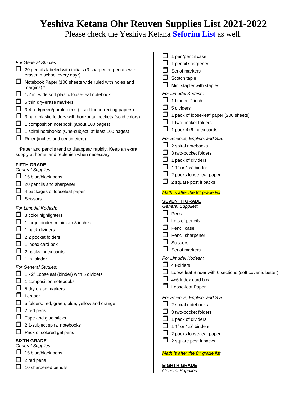Please check the Yeshiva Ketana **[Seforim List](https://ohrreuven-my.sharepoint.com/personal/rmeisels_ohrreuven_com/Documents/Office%20Folder/Year%20End%20and%20Beginning/5782%20School%20Year/Seforim%20List%2021-22-%20new%20(1).docx)** as well.

|                                                                                            | 1 pen/pencil case                                        |
|--------------------------------------------------------------------------------------------|----------------------------------------------------------|
| For General Studies:                                                                       | 1 pencil sharpener                                       |
| 20 pencils labeled with initials (3 sharpened pencils with<br>eraser in school every day*) | Set of markers                                           |
| Notebook Paper (100 sheets wide ruled with holes and                                       | Scotch taple<br>Mini stapler with staples                |
| margins) *<br>1/2 in. wide soft plastic loose-leaf notebook                                | For Limudei Kodesh:                                      |
|                                                                                            | 1 binder, 2 inch                                         |
| 5 thin dry-erase markers                                                                   | 5 dividers                                               |
| 3-4 red/green/purple pens (Used for correcting papers)                                     | 1 pack of loose-leaf paper (200 sheets)                  |
| 3 hard plastic folders with horizontal pockets (solid colors)                              | 1 two-pocket folders                                     |
| 1 composition notebook (about 100 pages)                                                   | 1 pack 4x6 index cards                                   |
| 1 spiral notebooks (One-subject, at least 100 pages)                                       |                                                          |
| Ruler (inches and centimeters)                                                             | For Science, English, and S.S.                           |
| *Paper and pencils tend to disappear rapidly. Keep an extra                                | 2 spiral notebooks                                       |
| supply at home, and replenish when necessary                                               | 3 two-pocket folders                                     |
| <b>FIFTH GRADE</b>                                                                         | 1 pack of dividers                                       |
| General Supplies:                                                                          | 1 1" or 1.5" binder                                      |
| 15 blue/black pens                                                                         | 2 packs loose-leaf paper                                 |
| 20 pencils and sharpener                                                                   | 2 square post it packs                                   |
| 4 packages of looseleaf paper                                                              | Math is after the 8 <sup>th</sup> grade list             |
| <b>Scissors</b>                                                                            | <b>SEVENTH GRADE</b>                                     |
| For Limudei Kodesh:                                                                        | <b>General Supplies:</b>                                 |
| 3 color highlighters                                                                       | Pens                                                     |
| 1 large binder, minimum 3 inches                                                           | Lots of pencils                                          |
| 1 pack dividers                                                                            | Pencil case                                              |
| 2 2 pocket folders                                                                         | Pencil sharpener                                         |
| 1 index card box                                                                           | <b>Scissors</b>                                          |
|                                                                                            | Set of markers                                           |
| 2 packs index cards<br>1 in. binder                                                        | For Limudei Kodesh:                                      |
|                                                                                            | 4 Folders                                                |
| <b>For General Studies:</b>                                                                | Loose leaf Binder with 6 sections (soft cover is better) |
| 1 - 2" Looseleaf (binder) with 5 dividers                                                  | 4x6 Index card box                                       |
| 1 composition notebooks                                                                    |                                                          |
| 5 dry erase markers                                                                        | Loose-leaf Paper                                         |
| I eraser                                                                                   | For Science, English, and S.S.                           |
| 5 folders: red, green, blue, yellow and orange                                             | 2 spiral notebooks                                       |
| 2 red pens                                                                                 | 3 two-pocket folders                                     |
| Tape and glue sticks                                                                       | 1 pack of dividers                                       |
| 2 1-subject spiral notebooks                                                               | 1 1" or 1.5" binders                                     |
| Pack of colored gel pens                                                                   | 2 packs loose-leaf paper                                 |
| <b>SIXTH GRADE</b>                                                                         | 2 square post it packs                                   |
| <b>General Supplies:</b>                                                                   |                                                          |
| 15 blue/black pens                                                                         | Math is after the 8 <sup>th</sup> grade list             |
| 2 red pens                                                                                 |                                                          |
| 10 sharpened pencils                                                                       | <b>EIGHTH GRADE</b><br><b>General Supplies:</b>          |